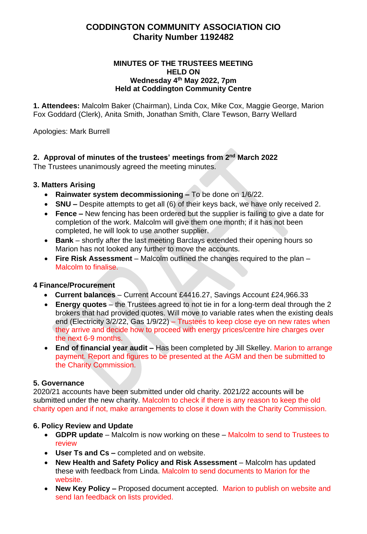# **CODDINGTON COMMUNITY ASSOCIATION CIO Charity Number 1192482**

#### **MINUTES OF THE TRUSTEES MEETING HELD ON Wednesday 4 th May 2022, 7pm Held at Coddington Community Centre**

**1. Attendees:** Malcolm Baker (Chairman), Linda Cox, Mike Cox, Maggie George, Marion Fox Goddard (Clerk), Anita Smith, Jonathan Smith, Clare Tewson, Barry Wellard

Apologies: Mark Burrell

## **2. Approval of minutes of the trustees' meetings from 2 nd March 2022**

The Trustees unanimously agreed the meeting minutes.

## **3. Matters Arising**

- **Rainwater system decommissioning –** To be done on 1/6/22.
- **SNU –** Despite attempts to get all (6) of their keys back, we have only received 2.
- **Fence –** New fencing has been ordered but the supplier is failing to give a date for completion of the work. Malcolm will give them one month; if it has not been completed, he will look to use another supplier.
- **Bank**  shortly after the last meeting Barclays extended their opening hours so Marion has not looked any further to move the accounts.
- **Fire Risk Assessment**  Malcolm outlined the changes required to the plan Malcolm to finalise.

## **4 Finance/Procurement**

- **Current balances** Current Account £4416.27, Savings Account £24,966.33
- **Energy quotes** the Trustees agreed to not tie in for a long-term deal through the 2 brokers that had provided quotes. Will move to variable rates when the existing deals end (Electricity 3/2/22, Gas 1/9/22) – Trustees to keep close eye on new rates when they arrive and decide how to proceed with energy prices/centre hire charges over the next 6-9 months.
- **End of financial year audit –** Has been completed by Jill Skelley. Marion to arrange payment. Report and figures to be presented at the AGM and then be submitted to the Charity Commission.

## **5. Governance**

2020/21 accounts have been submitted under old charity. 2021/22 accounts will be submitted under the new charity. Malcolm to check if there is any reason to keep the old charity open and if not, make arrangements to close it down with the Charity Commission.

## **6. Policy Review and Update**

- **GDPR update** Malcolm is now working on these Malcolm to send to Trustees to review
- **User Ts and Cs –** completed and on website.
- **New Health and Safety Policy and Risk Assessment** Malcolm has updated these with feedback from Linda. Malcolm to send documents to Marion for the website.
- **New Key Policy –** Proposed document accepted. Marion to publish on website and send Ian feedback on lists provided.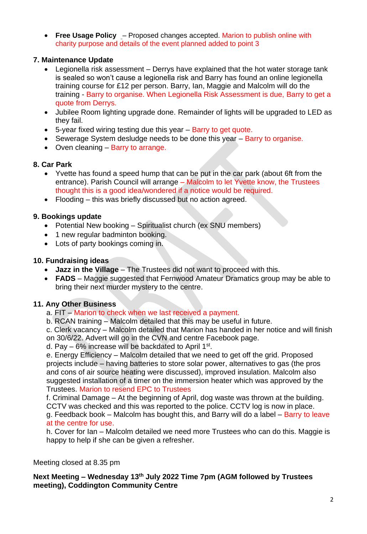• **[Free Usage Policy](http://www.coddingtoncommunitycentre.org.uk/shared/attachments.asp?f=7bdddf0e%2Dd73a%2D4e47%2Dbd40%2D7dead6c3a753%2Epdf&o=CCC%2DFree%2DUsage%2DPolicy%2Epdf)** – Proposed changes accepted. Marion to publish online with charity purpose and details of the event planned added to point 3

## **7. Maintenance Update**

- Legionella risk assessment Derrys have explained that the hot water storage tank is sealed so won't cause a legionella risk and Barry has found an online legionella training course for £12 per person. Barry, Ian, Maggie and Malcolm will do the training - Barry to organise. When Legionella Risk Assessment is due, Barry to get a quote from Derrys.
- Jubilee Room lighting upgrade done. Remainder of lights will be upgraded to LED as they fail.
- 5-year fixed wiring testing due this year Barry to get quote.
- Sewerage System desludge needs to be done this year Barry to organise.
- Oven cleaning Barry to arrange.

## **8. Car Park**

- Yvette has found a speed hump that can be put in the car park (about 6ft from the entrance). Parish Council will arrange – Malcolm to let Yvette know, the Trustees thought this is a good idea/wondered if a notice would be required.
- Flooding this was briefly discussed but no action agreed.

## **9. Bookings update**

- Potential New booking Spiritualist church (ex SNU members)
- 1 new regular badminton booking.
- Lots of party bookings coming in.

## **10. Fundraising ideas**

- **Jazz in the Village** The Trustees did not want to proceed with this.
- **FADS** Maggie suggested that Fernwood Amateur Dramatics group may be able to bring their next murder mystery to the centre.

## **11. Any Other Business**

- a. FIT Marion to check when we last received a payment.
- b. RCAN training Malcolm detailed that this may be useful in future.

c. Clerk vacancy – Malcolm detailed that Marion has handed in her notice and will finish on 30/6/22. Advert will go in the CVN and centre Facebook page.

d. Pay  $-6\%$  increase will be backdated to April 1st.

e. Energy Efficiency – Malcolm detailed that we need to get off the grid. Proposed projects include – having batteries to store solar power, alternatives to gas (the pros and cons of air source heating were discussed), improved insulation. Malcolm also suggested installation of a timer on the immersion heater which was approved by the Trustees. Marion to resend EPC to Trustees

f. Criminal Damage – At the beginning of April, dog waste was thrown at the building. CCTV was checked and this was reported to the police. CCTV log is now in place.

g. Feedback book – Malcolm has bought this, and Barry will do a label – Barry to leave at the centre for use.

h. Cover for Ian – Malcolm detailed we need more Trustees who can do this. Maggie is happy to help if she can be given a refresher.

Meeting closed at 8.35 pm

## **Next Meeting – Wednesday 13th July 2022 Time 7pm (AGM followed by Trustees meeting), Coddington Community Centre**